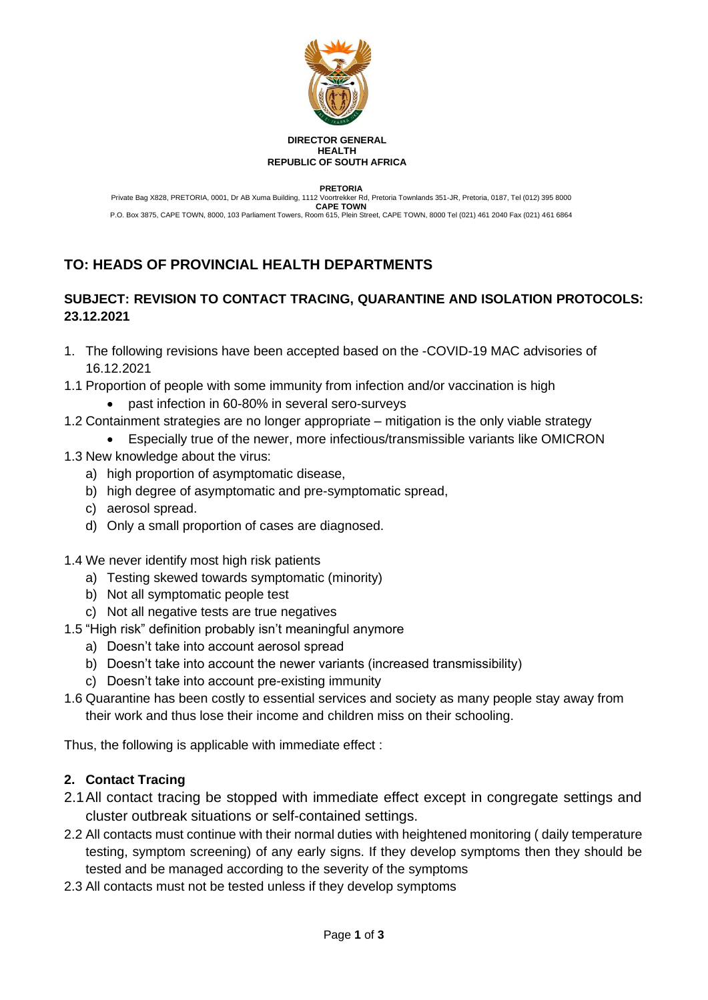

#### **DIRECTOR GENERAL HEALTH REPUBLIC OF SOUTH AFRICA**

**PRETORIA**

Private Bag X828, PRETORIA, 0001, Dr AB Xuma Building, 1112 Voortrekker Rd, Pretoria Townlands 351-JR, Pretoria, 0187, Tel (012) 395 8000 **CAPE TOWN** P.O. Box 3875, CAPE TOWN, 8000, 103 Parliament Towers, Room 615, Plein Street, CAPE TOWN, 8000 Tel (021) 461 2040 Fax (021) 461 6864

# **TO: HEADS OF PROVINCIAL HEALTH DEPARTMENTS**

# **SUBJECT: REVISION TO CONTACT TRACING, QUARANTINE AND ISOLATION PROTOCOLS: 23.12.2021**

- 1. The following revisions have been accepted based on the -COVID-19 MAC advisories of 16.12.2021
- 1.1 Proportion of people with some immunity from infection and/or vaccination is high
	- past infection in 60-80% in several sero-surveys
- 1.2 Containment strategies are no longer appropriate mitigation is the only viable strategy
	- Especially true of the newer, more infectious/transmissible variants like OMICRON
- 1.3 New knowledge about the virus:
	- a) high proportion of asymptomatic disease,
	- b) high degree of asymptomatic and pre-symptomatic spread,
	- c) aerosol spread.
	- d) Only a small proportion of cases are diagnosed.
- 1.4 We never identify most high risk patients
	- a) Testing skewed towards symptomatic (minority)
	- b) Not all symptomatic people test
	- c) Not all negative tests are true negatives
- 1.5 "High risk" definition probably isn't meaningful anymore
	- a) Doesn't take into account aerosol spread
	- b) Doesn't take into account the newer variants (increased transmissibility)
	- c) Doesn't take into account pre-existing immunity
- 1.6 Quarantine has been costly to essential services and society as many people stay away from their work and thus lose their income and children miss on their schooling.

Thus, the following is applicable with immediate effect :

### **2. Contact Tracing**

- 2.1All contact tracing be stopped with immediate effect except in congregate settings and cluster outbreak situations or self-contained settings.
- 2.2 All contacts must continue with their normal duties with heightened monitoring ( daily temperature testing, symptom screening) of any early signs. If they develop symptoms then they should be tested and be managed according to the severity of the symptoms
- 2.3 All contacts must not be tested unless if they develop symptoms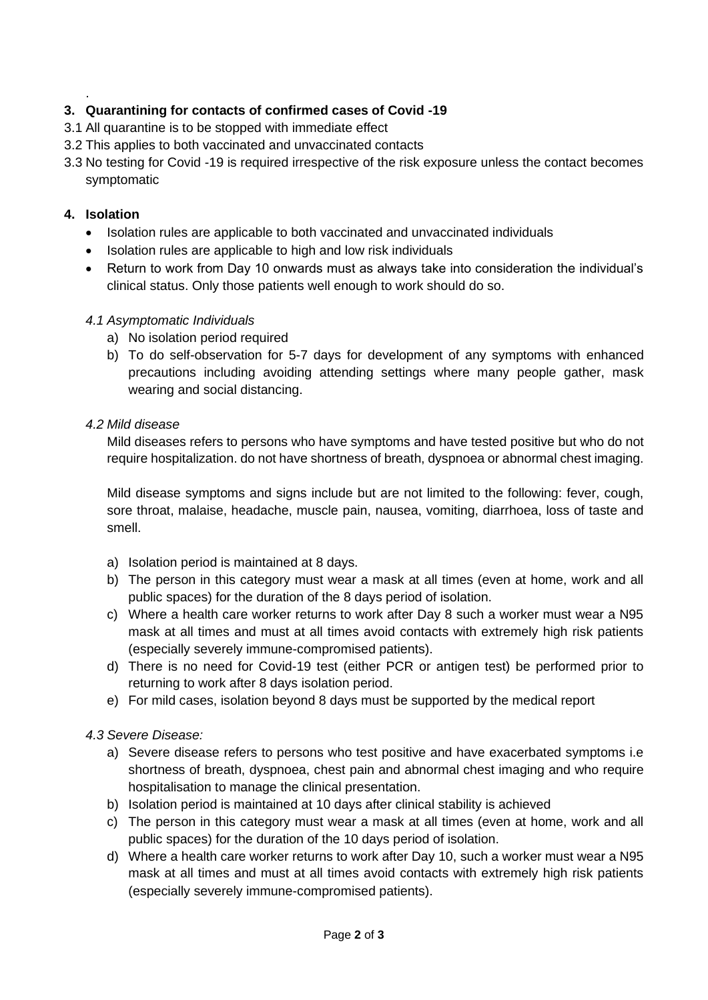## **3. Quarantining for contacts of confirmed cases of Covid -19**

- 3.1 All quarantine is to be stopped with immediate effect
- 3.2 This applies to both vaccinated and unvaccinated contacts
- 3.3 No testing for Covid -19 is required irrespective of the risk exposure unless the contact becomes symptomatic

#### **4. Isolation**

.

- Isolation rules are applicable to both vaccinated and unvaccinated individuals
- Isolation rules are applicable to high and low risk individuals
- Return to work from Day 10 onwards must as always take into consideration the individual's clinical status. Only those patients well enough to work should do so.

### *4.1 Asymptomatic Individuals*

- a) No isolation period required
- b) To do self-observation for 5-7 days for development of any symptoms with enhanced precautions including avoiding attending settings where many people gather, mask wearing and social distancing.

#### *4.2 Mild disease*

Mild diseases refers to persons who have symptoms and have tested positive but who do not require hospitalization. do not have shortness of breath, dyspnoea or abnormal chest imaging.

Mild disease symptoms and signs include but are not limited to the following: fever, cough, sore throat, malaise, headache, muscle pain, nausea, vomiting, diarrhoea, loss of taste and smell.

- a) Isolation period is maintained at 8 days.
- b) The person in this category must wear a mask at all times (even at home, work and all public spaces) for the duration of the 8 days period of isolation.
- c) Where a health care worker returns to work after Day 8 such a worker must wear a N95 mask at all times and must at all times avoid contacts with extremely high risk patients (especially severely immune-compromised patients).
- d) There is no need for Covid-19 test (either PCR or antigen test) be performed prior to returning to work after 8 days isolation period.
- e) For mild cases, isolation beyond 8 days must be supported by the medical report

### *4.3 Severe Disease:*

- a) Severe disease refers to persons who test positive and have exacerbated symptoms i.e shortness of breath, dyspnoea, chest pain and abnormal chest imaging and who require hospitalisation to manage the clinical presentation.
- b) Isolation period is maintained at 10 days after clinical stability is achieved
- c) The person in this category must wear a mask at all times (even at home, work and all public spaces) for the duration of the 10 days period of isolation.
- d) Where a health care worker returns to work after Day 10, such a worker must wear a N95 mask at all times and must at all times avoid contacts with extremely high risk patients (especially severely immune-compromised patients).